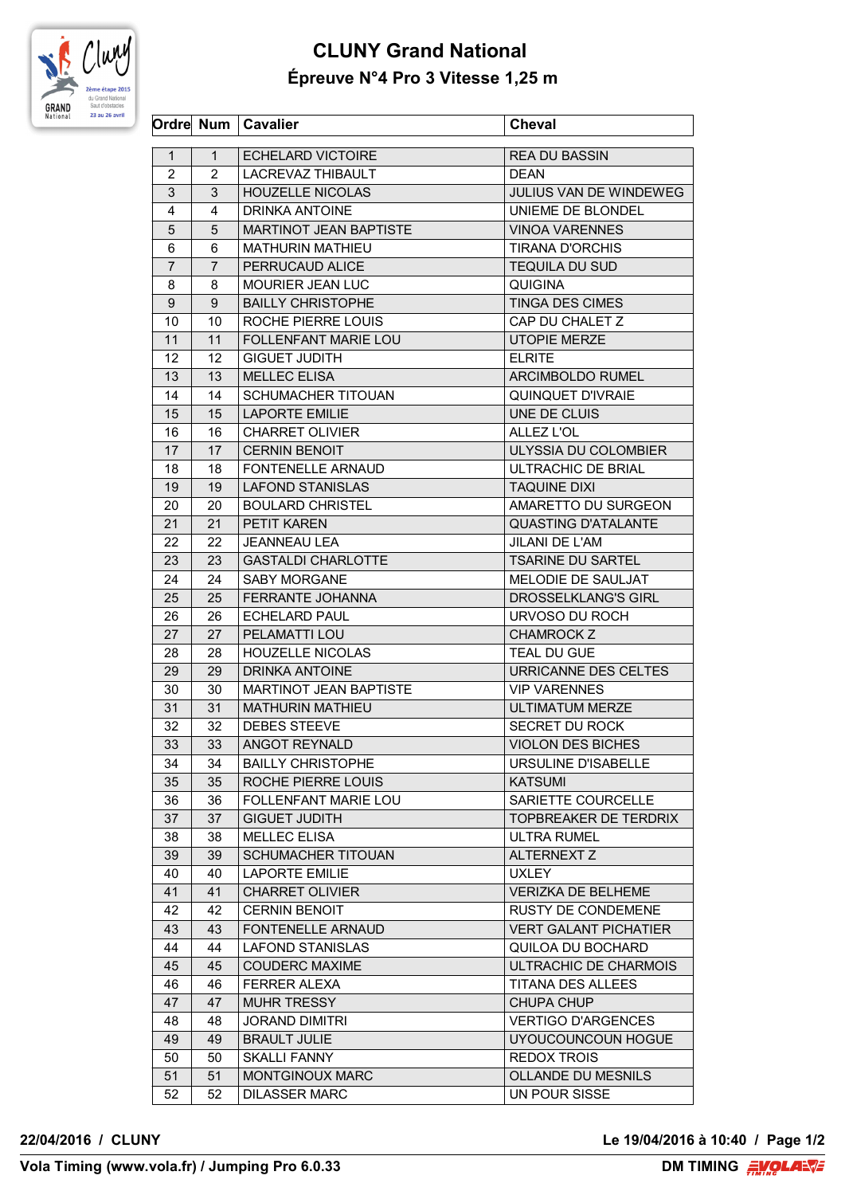

## **CLUNY Grand National Épreuve N°4 Pro 3 Vitesse 1,25 m**

|                |                | Ordre Num   Cavalier                            | <b>Cheval</b>                               |
|----------------|----------------|-------------------------------------------------|---------------------------------------------|
| $\mathbf{1}$   | 1              | <b>ECHELARD VICTOIRE</b>                        | <b>REA DU BASSIN</b>                        |
| $\overline{2}$ | $\overline{2}$ | LACREVAZ THIBAULT                               | <b>DEAN</b>                                 |
| 3              | 3              | <b>HOUZELLE NICOLAS</b>                         | <b>JULIUS VAN DE WINDEWEG</b>               |
| 4              | 4              | DRINKA ANTOINE                                  | UNIEME DE BLONDEL                           |
| 5              | 5              | MARTINOT JEAN BAPTISTE                          | <b>VINOA VARENNES</b>                       |
| 6              | 6              | <b>MATHURIN MATHIEU</b>                         | <b>TIRANA D'ORCHIS</b>                      |
| $\overline{7}$ | 7              | PERRUCAUD ALICE                                 | <b>TEQUILA DU SUD</b>                       |
| 8              | 8              | MOURIER JEAN LUC                                | <b>QUIGINA</b>                              |
| 9              | 9              | <b>BAILLY CHRISTOPHE</b>                        | TINGA DES CIMES                             |
| 10             | 10             | ROCHE PIERRE LOUIS                              | CAP DU CHALET Z                             |
| 11             | 11             | FOLLENFANT MARIE LOU                            | UTOPIE MERZE                                |
| 12             | 12             | <b>GIGUET JUDITH</b>                            | <b>ELRITE</b>                               |
| 13             | 13             | <b>MELLEC ELISA</b>                             | ARCIMBOLDO RUMEL                            |
| 14             | 14             | <b>SCHUMACHER TITOUAN</b>                       | QUINQUET D'IVRAIE                           |
| 15             | 15             | <b>LAPORTE EMILIE</b>                           | UNE DE CLUIS                                |
| 16             | 16             | <b>CHARRET OLIVIER</b>                          | ALLEZ L'OL                                  |
| 17             | 17             | <b>CERNIN BENOIT</b>                            | ULYSSIA DU COLOMBIER                        |
| 18             | 18             | FONTENELLE ARNAUD                               | ULTRACHIC DE BRIAL                          |
| 19             | 19             | <b>LAFOND STANISLAS</b>                         | <b>TAQUINE DIXI</b>                         |
| 20             | 20             | <b>BOULARD CHRISTEL</b>                         | AMARETTO DU SURGEON                         |
| 21             | 21             | PETIT KAREN                                     | <b>QUASTING D'ATALANTE</b>                  |
| 22             | 22             | <b>JEANNEAU LEA</b>                             | <b>JILANI DE L'AM</b>                       |
| 23             | 23             | <b>GASTALDI CHARLOTTE</b>                       | <b>TSARINE DU SARTEL</b>                    |
| 24             | 24             | <b>SABY MORGANE</b>                             | MELODIE DE SAULJAT                          |
| 25             | 25             | <b>FERRANTE JOHANNA</b>                         | <b>DROSSELKLANG'S GIRL</b>                  |
|                |                |                                                 |                                             |
| 26             | 26<br>27       | <b>ECHELARD PAUL</b><br>PELAMATTI LOU           | URVOSO DU ROCH                              |
| 27             |                |                                                 | CHAMROCK Z<br><b>TEAL DU GUE</b>            |
| 28             | 28<br>29       | <b>HOUZELLE NICOLAS</b>                         |                                             |
| 29             |                | DRINKA ANTOINE<br><b>MARTINOT JEAN BAPTISTE</b> | URRICANNE DES CELTES<br><b>VIP VARENNES</b> |
| 30             | 30<br>31       | <b>MATHURIN MATHIEU</b>                         |                                             |
| 31             |                |                                                 | <b>ULTIMATUM MERZE</b>                      |
| 32             | 32             | <b>DEBES STEEVE</b>                             | SECRET DU ROCK                              |
| 33             | 33             | ANGOT REYNALD                                   | VIOLON DES BICHES                           |
| 34             | 34             | <b>BAILLY CHRISTOPHE</b>                        | URSULINE D'ISABELLE                         |
| 35             | 35             | ROCHE PIERRE LOUIS                              | <b>KATSUMI</b>                              |
| 36             | 36             | <b>FOLLENFANT MARIE LOU</b>                     | SARIETTE COURCELLE                          |
| 37             | 37             | <b>GIGUET JUDITH</b>                            | TOPBREAKER DE TERDRIX                       |
| 38             | 38             | <b>MELLEC ELISA</b>                             | <b>ULTRA RUMEL</b>                          |
| 39             | 39             | <b>SCHUMACHER TITOUAN</b>                       | <b>ALTERNEXT Z</b>                          |
| 40             | 40             | <b>LAPORTE EMILIE</b>                           | <b>UXLEY</b>                                |
| 41             | 41             | <b>CHARRET OLIVIER</b>                          | <b>VERIZKA DE BELHEME</b>                   |
| 42             | 42             | <b>CERNIN BENOIT</b>                            | <b>RUSTY DE CONDEMENE</b>                   |
| 43             | 43             | FONTENELLE ARNAUD                               | <b>VERT GALANT PICHATIER</b>                |
| 44             | 44             | <b>LAFOND STANISLAS</b>                         | QUILOA DU BOCHARD                           |
| 45             | 45             | <b>COUDERC MAXIME</b>                           | ULTRACHIC DE CHARMOIS                       |
| 46             | 46             | <b>FERRER ALEXA</b>                             | TITANA DES ALLEES                           |
| 47             | 47             | <b>MUHR TRESSY</b>                              | <b>CHUPA CHUP</b>                           |
| 48             | 48             | JORAND DIMITRI                                  | <b>VERTIGO D'ARGENCES</b>                   |
| 49             | 49             | <b>BRAULT JULIE</b>                             | UYOUCOUNCOUN HOGUE                          |
| 50             | 50             | SKALLI FANNY                                    | <b>REDOX TROIS</b>                          |
| 51             | 51             | MONTGINOUX MARC                                 | <b>OLLANDE DU MESNILS</b>                   |
| 52             | 52             | <b>DILASSER MARC</b>                            | UN POUR SISSE                               |

**22/04/2016 / CLUNY Le 19/04/2016 à 10:40 / Page 1/2**